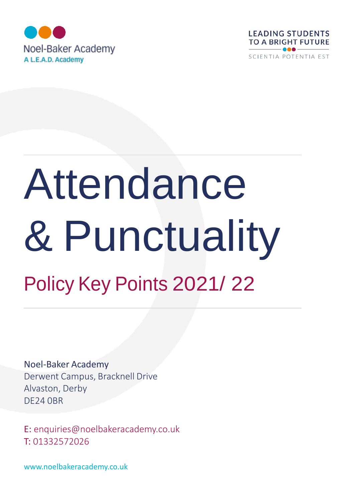



# Attendance & Punctuality Policy Key Points 2021/ 22

Noel-Baker Academy Derwent Campus, Bracknell Drive Alvaston, Derby DE24 0BR

E: [enquiries@noelbakeracademy.co.uk](mailto:enquiries@noelbakeracademy.co.uk) T: 01332572026

[www.noelbakeracademy.co.uk](http://www.noelbakeracademy.co.uk/)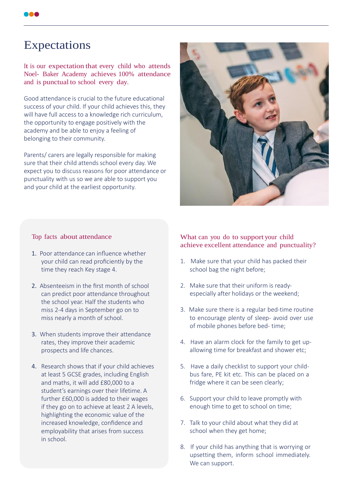# Expectations

It is our expectation that every child who attends Noel- Baker Academy achieves 100% attendance and is punctual to school every day.

Good attendance is crucial to the future educational success of your child. If your child achieves this, they will have full access to a knowledge rich curriculum, the opportunity to engage positively with the academy and be able to enjoy a feeling of belonging to their community.

Parents/ carers are legally responsible for making sure that their child attends school every day. We expect you to discuss reasons for poor attendance or punctuality with us so we are able to support you and your child at the earliest opportunity.



#### Top facts about attendance

- 1. Poor attendance can influence whether your child can read proficiently by the time they reach Key stage 4.
- 2. Absenteeism in the first month of school can predict poor attendance throughout the school year. Half the students who miss 2-4 days in September go on to miss nearly a month of school.
- 3. When students improve their attendance rates, they improve their academic prospects and life chances.
- 4. Research shows that if your child achieves at least 5 GCSE grades, including English and maths, it will add £80,000 to a student's earnings over their lifetime. A further £60,000 is added to their wages if they go on to achieve at least 2 A levels, highlighting the economic value of the increased knowledge, confidence and employability that arises from success in school.

#### What can you do to support your child achieve excellent attendance and punctuality?

- 1. Make sure that your child has packed their school bag the night before;
- 2. Make sure that their uniform is readyespecially after holidays or the weekend;
- 3. Make sure there is a regular bed-time routine to encourage plenty of sleep- avoid over use of mobile phones before bed- time;
- 4. Have an alarm clock for the family to get upallowing time for breakfast and shower etc;
- 5. Have a daily checklist to support your childbus fare, PE kit etc. This can be placed on a fridge where it can be seen clearly;
- 6. Support your child to leave promptly with enough time to get to school on time;
- 7. Talk to your child about what they did at school when they get home;
- 8. If your child has anything that is worrying or upsetting them, inform school immediately. We can support.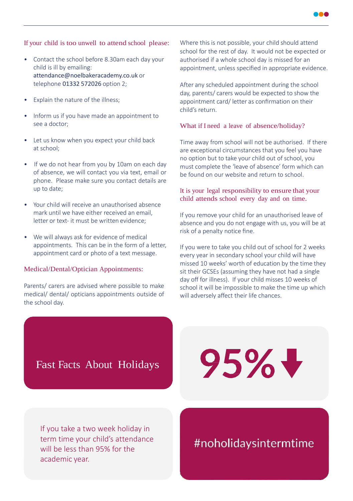

#### If your child is too unwell to attend school please:

- Contact the school before 8.30am each day your child is ill by emailing: [attendance@noelbakeracademy.co.uk](mailto:attendance@noelbakeracademy.co.uk) or telephone 01332 572026 option 2;
- Explain the nature of the illness;
- Inform us if you have made an appointment to see a doctor;
- Let us know when you expect your child back at school;
- If we do not hear from you by 10am on each day of absence, we will contact you via text, email or phone. Please make sure you contact details are up to date;
- Your child will receive an unauthorised absence mark until we have either received an email, letter or text- it must be written evidence;
- We will always ask for evidence of medical appointments. This can be in the form of a letter, appointment card or photo of a text message.

#### Medical/Dental/Optician Appointments:

Parents/ carers are advised where possible to make medical/ dental/ opticians appointments outside of the school day.

Where this is not possible, your child should attend school for the rest of day. It would not be expected or authorised if a whole school day is missed for an appointment, unless specified in appropriate evidence.

After any scheduled appointment during the school day, parents/ carers would be expected to show the appointment card/ letter as confirmation on their child's return.

#### What if I need a leave of absence/holiday?

Time away from school will not be authorised. If there are exceptional circumstances that you feel you have no option but to take your child out of school, you must complete the 'leave of absence' form which can be found on our website and return to school.

## It is your legal responsibility to ensure that your child attends school every day and on time.

If you remove your child for an unauthorised leave of absence and you do not engage with us, you will be at risk of a penalty notice fine.

If you were to take you child out of school for 2 weeks every year in secondary school your child will have missed 10 weeks' worth of education by the time they sit their GCSEs (assuming they have not had a single day off for illness). If your child misses 10 weeks of school it will be impossible to make the time up which will adversely affect their life chances.

# Fast Facts About Holidays

 $95\%$   $\frac{1}{2}$ 

If you take a two week holiday in term time your child's attendance will be less than 95% for the academic year.

#noholidaysintermtime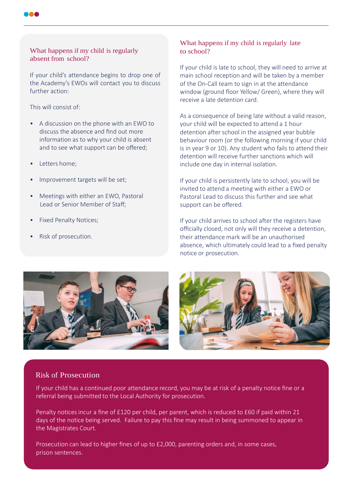# What happens if my child is regularly absent from school?

If your child's attendance begins to drop one of the Academy's EWOs will contact you to discuss further action:

This will consist of:

- A discussion on the phone with an EWO to discuss the absence and find out more information as to why your child is absent and to see what support can be offered;
- Letters home;
- Improvement targets will be set;
- Meetings with either an EWO, Pastoral Lead or Senior Member of Staff;
- Fixed Penalty Notices;
- Risk of prosecution.

## What happens if my child is regularly late to school?

If your child is late to school, they will need to arrive at main school reception and will be taken by a member of the On-Call team to sign in at the attendance window (ground floor Yellow/ Green), where they will receive a late detention card.

As a consequence of being late without a valid reason, your child will be expected to attend a 1 hour detention after school in the assigned year bubble behaviour room (or the following morning if your child is in year 9 or 10). Any student who fails to attend their detention will receive further sanctions which will include one day in internal isolation.

If your child is persistently late to school, you will be invited to attend a meeting with either a EWO or Pastoral Lead to discuss this further and see what support can be offered.

If your child arrives to school after the registers have officially closed, not only will they receive a detention, their attendance mark will be an unauthorised absence, which ultimately could lead to a fixed penalty notice or prosecution.





## Risk of Prosecution

If your child has a continued poor attendance record, you may be at risk of a penalty notice fine or a referral being submitted to the Local Authority for prosecution.

Penalty notices incur a fine of £120 per child, per parent, which is reduced to £60 if paid within 21 days of the notice being served. Failure to pay this fine may result in being summoned to appear in the Magistrates Court.

Prosecution can lead to higher fines of up to £2,000, parenting orders and, in some cases, prison sentences.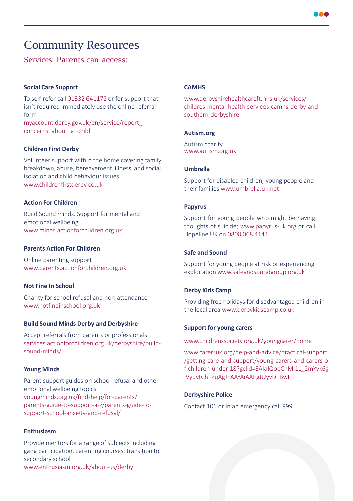

# Community Resources

# Services Parents can access:

#### **Social Care Support**

To self-refer call 01332 641172 or for support that isn't required immediately use the online referral form myaccount.derby.gov.uk/en/service/report\_ concerns\_about\_a\_child

#### **Children First Derby**

Volunteer support within the home covering family breakdown, abuse, bereavement, illness, and social isolation and child behaviour issues. www.childrenfi[rstderby.co.uk](http://www.childrenfirstderby.co.uk/)

#### **Action For Children**

Build Sound minds. Support for mental and emotional wellbeing. [www.minds.actionforchildren.org.uk](http://www.minds.actionforchildren.org.uk/)

#### **Parents Action For Children**

Online parenting support [www.parents.actionforchildren.org.uk](http://www.parents.actionforchildren.org.uk/)

#### **Not Fine In School**

Charity for school refusal and non-attendance [www.notfineinschool.org.uk](http://www.notfineinschool.org.uk/)

#### **Build Sound Minds Derby and Derbyshire**

Accept referrals from parents or professionals services.actionforchildren.org.uk/derbyshire/buildsound-minds/

#### **Young Minds**

Parent support guides on school refusal and other emotional wellbeing topics youngminds.org.uk/find-help/for-parents/ parents-guide-to-support-a-z/parents-guide-tosupport-school-anxiety-and-refusal/

#### **Enthusiasm**

Provide mentors for a range of subjects including gang participation, parenting courses, transition to secondary school [www.enthusiasm.org.uk/about-us/derby](http://www.enthusiasm.org.uk/about-us/derby)

#### **CAMHS**

[www.derbyshirehealthcareft.nhs.uk/services/](http://www.derbyshirehealthcareft.nhs.uk/services/) childres-mental-health-services-camhs-derby-andsouthern-derbyshire

#### **Autism.org**

Autism charity [www.autism.org.uk](http://www.autism.org.uk/)

#### **Umbrella**

Support for disabled children, young people and their familie[s www.umbrella.uk.net](http://www.umbrella.uk.net/)

#### **Papyrus**

Support for young people who might be having thoughts of suicide; [www.papyrus-uk.org o](http://www.papyrus-uk.org/)r call Hopeline UK on 0800 068 4141

#### **Safe and Sound**

Support for young people at risk or experiencing exploitation [www.safeandsoundgroup.org.uk](http://www.safeandsoundgroup.org.uk/)

#### **Derby Kids Camp**

Providing free holidays for disadvantaged children in the local are[a www.derbykidscamp.co.uk](http://www.derbykidscamp.co.uk/)

#### **Support for young carers**

[www.childrenssociety.org.uk/youngcarer/home](http://www.childrenssociety.org.uk/youngcarer/home)

[www.carersuk.org/help-and-advice/practical-support](http://www.carersuk.org/help-and-advice/practical-support) /getting-care-and-support/young-carers-and-carers-o f-children-under-18?gclid=EAIaIQobChMI1L\_2mYvk6g IVyuvtCh1ZuAgJEAAYAiAAEgJUyvD\_BwE

#### **Derbyshire Police**

Contact 101 or in an emergency call 999